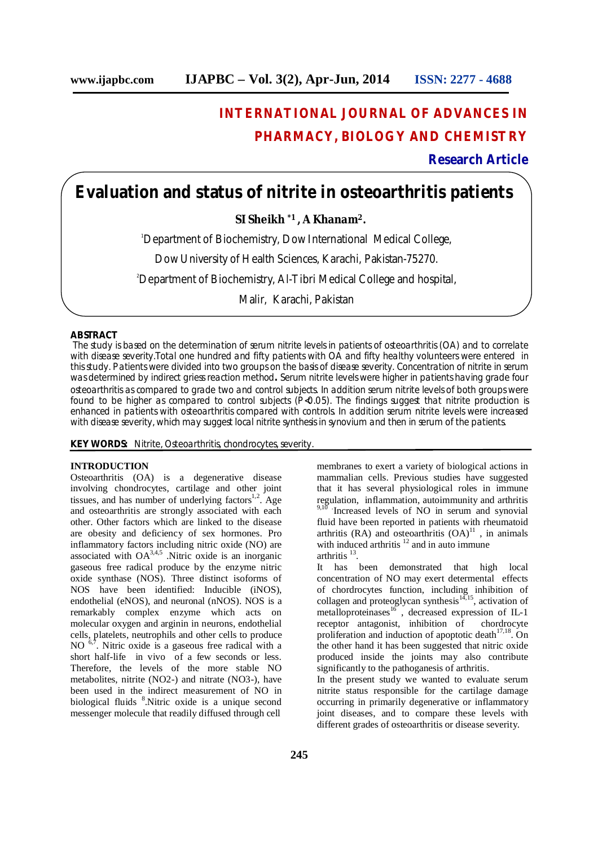# **INTERNATIONAL JOURNAL OF ADVANCES IN PHARMACY, BIOLOGY AND CHEMISTRY**

**Research Article**

# **Evaluation and status of nitrite in osteoarthritis patients**

 **SI Sheikh \*1 , A Khanam<sup>2</sup>.**

<sup>1</sup>Department of Biochemistry, Dow International Medical College,

Dow University of Health Sciences, Karachi, Pakistan-75270.

<sup>2</sup>Department of Biochemistry, Al-Tibri Medical College and hospital,

Malir, Karachi, Pakistan

#### **ABSTRACT**

The study is based on the determination of serum nitrite levels in patients of osteoarthritis (OA) and to correlate with disease severity. Total one hundred and fifty patients with OA and fifty healthy volunteers were entered in this study. Patients were divided into two groups on the basis of disease severity. Concentration of nitrite in serum was determined by indirect griess reaction method**.** Serum nitrite levels were higher in patients having grade four osteoarthritis as compared to grade two and control subjects. In addition serum nitrite levels of both groups were found to be higher as compared to control subjects (P<0.05). The findings suggest that nitrite production is enhanced in patients with osteoarthritis compared with controls. In addition serum nitrite levels were increased with disease severity, which may suggest local nitrite synthesis in synovium and then in serum of the patients.

**KEY WORDS:** Nitrite, Osteoarthritis, chondrocytes, severity.

### **INTRODUCTION**

ī

Osteoarthritis (OA) is a degenerative disease involving chondrocytes, cartilage and other joint tissues, and has number of underlying factors $1,2$ . Age and osteoarthritis are strongly associated with each other. Other factors which are linked to the disease are obesity and deficiency of sex hormones. Pro inflammatory factors including nitric oxide (NO) are associated with  $OA^{3,4,5}$  . Nitric oxide is an inorganic gaseous free radical produce by the enzyme nitric oxide synthase (NOS). Three distinct isoforms of NOS have been identified: Inducible (iNOS), endothelial (eNOS), and neuronal (nNOS). NOS is a remarkably complex enzyme which acts on molecular oxygen and arginin in neurons, endothelial cells, platelets, neutrophils and other cells to produce NO 6,7. Nitric oxide is a gaseous free radical with a short half-life in vivo of a few seconds or less. Therefore, the levels of the more stable NO metabolites, nitrite (NO2-) and nitrate (NO3-), have been used in the indirect measurement of NO in biological fluids <sup>8</sup>. Nitric oxide is a unique second messenger molecule that readily diffused through cell

membranes to exert a variety of biological actions in mammalian cells. Previous studies have suggested that it has several physiological roles in immune regulation, inflammation, autoimmunity and arthritis Increased levels of NO in serum and synovial fluid have been reported in patients with rheumatoid arthritis (RA) and osteoarthritis  $(OA)^{11}$ , in animals with induced arthritis  $12$  and in auto immune arthritis  $13$ .

It has been demonstrated that high local concentration of NO may exert determental effects of chordrocytes function, including inhibition of collagen and proteoglycan synthesis $14,15$ , activation of metalloproteinases $^{16}$ , decreased expression of IL-1 receptor antagonist, inhibition of chordrocyte proliferation and induction of apoptotic death<sup>17,18</sup>. On the other hand it has been suggested that nitric oxide produced inside the joints may also contribute significantly to the pathoganesis of arthritis.

In the present study we wanted to evaluate serum nitrite status responsible for the cartilage damage occurring in primarily degenerative or inflammatory joint diseases, and to compare these levels with different grades of osteoarthritis or disease severity.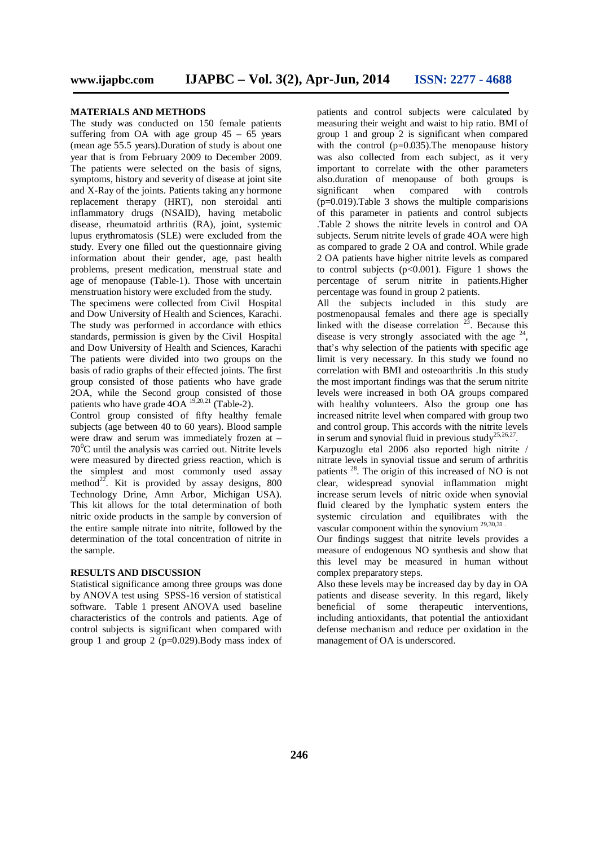#### **MATERIALS AND METHODS**

The study was conducted on 150 female patients suffering from OA with age group  $45 - 65$  years (mean age 55.5 years).Duration of study is about one year that is from February 2009 to December 2009. The patients were selected on the basis of signs, symptoms, history and severity of disease at joint site and X-Ray of the joints. Patients taking any hormone replacement therapy (HRT), non steroidal anti inflammatory drugs (NSAID), having metabolic disease, rheumatoid arthritis (RA), joint, systemic lupus erythromatosis (SLE) were excluded from the study. Every one filled out the questionnaire giving information about their gender, age, past health problems, present medication, menstrual state and age of menopause (Table-1). Those with uncertain menstruation history were excluded from the study.

The specimens were collected from Civil Hospital and Dow University of Health and Sciences, Karachi. The study was performed in accordance with ethics standards, permission is given by the Civil Hospital and Dow University of Health and Sciences, Karachi The patients were divided into two groups on the basis of radio graphs of their effected joints. The first group consisted of those patients who have grade 2OA, while the Second group consisted of those patients who have grade  $4OA^{19,20,21}$  (Table-2).

Control group consisted of fifty healthy female subjects (age between 40 to 60 years). Blood sample were draw and serum was immediately frozen at –  $70^{\circ}$ C until the analysis was carried out. Nitrite levels were measured by directed griess reaction, which is the simplest and most commonly used assay method<sup>22</sup>. Kit is provided by assay designs,  $800$ Technology Drine, Amn Arbor, Michigan USA). This kit allows for the total determination of both nitric oxide products in the sample by conversion of the entire sample nitrate into nitrite, followed by the determination of the total concentration of nitrite in the sample.

#### **RESULTS AND DISCUSSION**

Statistical significance among three groups was done by ANOVA test using SPSS-16 version of statistical software. Table 1 present ANOVA used baseline characteristics of the controls and patients. Age of control subjects is significant when compared with group 1 and group 2 ( $p=0.029$ ). Body mass index of

patients and control subjects were calculated by measuring their weight and waist to hip ratio. BMI of group 1 and group 2 is significant when compared with the control  $(p=0.035)$ . The menopause history was also collected from each subject, as it very important to correlate with the other parameters also.duration of menopause of both groups is<br>significant when compared with controls significant when compared with controls  $(p=0.019)$ .Table 3 shows the multiple comparisions of this parameter in patients and control subjects .Table 2 shows the nitrite levels in control and OA subjects. Serum nitrite levels of grade 4OA were high as compared to grade 2 OA and control. While grade 2 OA patients have higher nitrite levels as compared to control subjects  $(p<0.001)$ . Figure 1 shows the percentage of serum nitrite in patients.Higher percentage was found in group 2 patients.

All the subjects included in this study are postmenopausal females and there age is specially linked with the disease correlation  $2^3$ . Because this disease is very strongly associated with the age  $24$ , that's why selection of the patients with specific age limit is very necessary. In this study we found no correlation with BMI and osteoarthritis .In this study the most important findings was that the serum nitrite levels were increased in both OA groups compared with healthy volunteers. Also the group one has increased nitrite level when compared with group two and control group. This accords with the nitrite levels in serum and synovial fluid in previous study<sup>25,26,27</sup> .

Karpuzoglu etal 2006 also reported high nitrite / nitrate levels in synovial tissue and serum of arthritis patients <sup>28</sup>. The origin of this increased of NO is not clear, widespread synovial inflammation might increase serum levels of nitric oxide when synovial fluid cleared by the lymphatic system enters the systemic circulation and equilibrates with the vascular component within the synovium<sup>29,30,31</sup>

Our findings suggest that nitrite levels provides a measure of endogenous NO synthesis and show that this level may be measured in human without complex preparatory steps.

Also these levels may be increased day by day in OA patients and disease severity. In this regard, likely beneficial of some therapeutic interventions, including antioxidants, that potential the antioxidant defense mechanism and reduce per oxidation in the management of OA is underscored.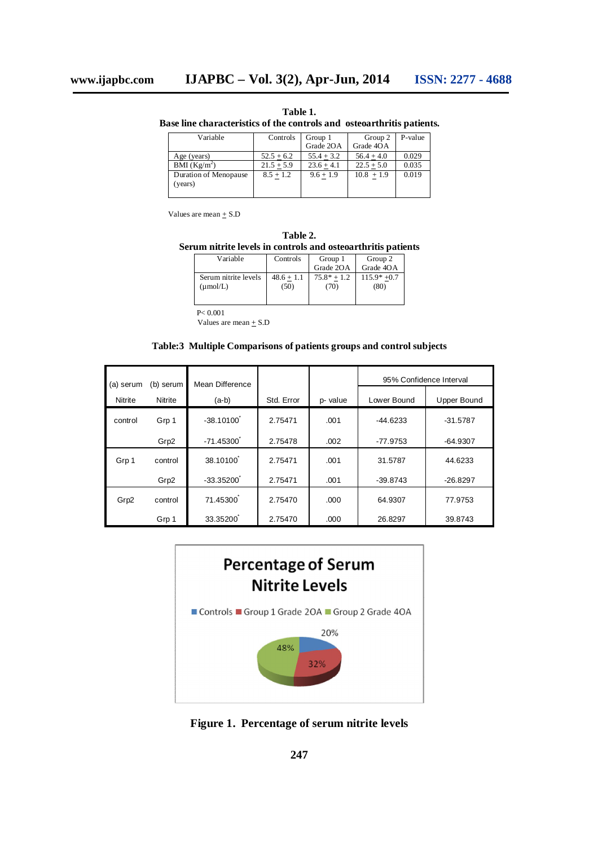**Table 1. Base line characteristics of the controls and osteoarthritis patients.**

| Variable                 | Controls     | Group 1      | Group 2      | P-value |
|--------------------------|--------------|--------------|--------------|---------|
|                          |              | Grade 2OA    | Grade 4OA    |         |
| Age (years)              | $52.5 + 6.2$ | $55.4 + 3.2$ | $56.4 + 4.0$ | 0.029   |
| BMI (Kg/m <sup>2</sup> ) | $21.5 + 5.9$ | $23.6 + 4.1$ | $22.5 + 5.0$ | 0.035   |
| Duration of Menopause    | $8.5 + 1.2$  | $9.6 + 1.9$  | $10.8 + 1.9$ | 0.019   |
| (years)                  |              |              |              |         |
|                          |              |              |              |         |

Values are mean  $+$  S.D

| Table 2.                                                     |  |
|--------------------------------------------------------------|--|
| Serum nitrite levels in controls and osteoarthritis patients |  |

| Variable                                     | Controls             | Group 1              | Group 2              |
|----------------------------------------------|----------------------|----------------------|----------------------|
|                                              |                      | Grade 2OA            | Grade 4OA            |
| Serum nitrite levels<br>$(\mu \text{mol/L})$ | $48.6 + 1.1$<br>(50) | $75.8* + 1.2$<br>70) | $115.9*+0.7$<br>(80) |

P< 0.001

Values are mean  $+$  S.D

## **Table:3 Multiple Comparisons of patients groups and control subjects**

| (a) serum      | (b) serum | Mean Difference |            |          | 95% Confidence Interval |             |
|----------------|-----------|-----------------|------------|----------|-------------------------|-------------|
| <b>Nitrite</b> | Nitrite   | (a-b)           | Std. Error | p- value | Lower Bound             | Upper Bound |
| control        | Grp 1     | $-38.10100$     | 2.75471    | .001     | $-44.6233$              | $-31.5787$  |
|                | Grp2      | $-71.45300$     | 2.75478    | .002     | -77.9753                | $-64.9307$  |
| Grp 1          | control   | 38.10100        | 2.75471    | .001     | 31.5787                 | 44.6233     |
|                | Grp2      | $-33.35200$     | 2.75471    | .001     | $-39.8743$              | $-26.8297$  |
| Grp2           | control   | 71.45300        | 2.75470    | .000     | 64.9307                 | 77.9753     |
|                | Grp 1     | 33.35200        | 2.75470    | .000     | 26.8297                 | 39.8743     |



**Figure 1. Percentage of serum nitrite levels**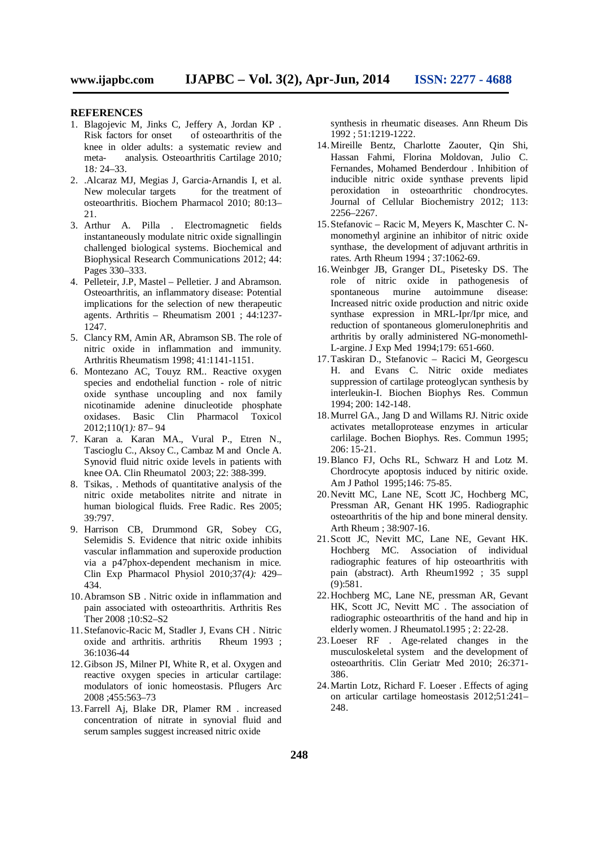#### **REFERENCES**

- 1. Blagojevic M*,* Jinks C*,* Jeffery A*,* Jordan KP *.*  Risk factors for onset of osteoarthritis of the knee in older adults: a systematic review and meta- analysis*.* Osteoarthritis Cartilage 2010*;*  18*:* 24*–*33*.*
- 2. .Alcaraz MJ, Megias J, Garcia-Arnandis I, et al. New molecular targets for the treatment of osteoarthritis. Biochem Pharmacol 2010; 80:13– 21.
- 3. Arthur A. Pilla . Electromagnetic fields instantaneously modulate nitric oxide signallingin challenged biological systems. Biochemical and Biophysical Research Communications 2012; 44: Pages 330–333.
- 4. Pelleteir, J.P, Mastel Pelletier. J and Abramson. Osteoarthritis, an inflammatory disease: Potential implications for the selection of new therapeutic agents. Arthritis – Rheumatism 2001 ; 44:1237- 1247.
- 5. Clancy RM, Amin AR, Abramson SB. The role of nitric oxide in inflammation and immunity. Arthritis Rheumatism 1998; 41:1141-1151.
- 6. Montezano AC*,* Touyz RM*..* Reactive oxygen species and endothelial function - role of nitric oxide synthase uncoupling and nox family nicotinamide adenine dinucleotide phosphate oxidases. Basic Clin Pharmacol Toxicol 2012;110*(*1*):* 87*–* 94
- 7. Karan a. Karan MA., Vural P., Etren N., Tascioglu C., Aksoy C., Cambaz M and Oncle A. Synovid fluid nitric oxide levels in patients with knee OA. Clin Rheumatol 2003; 22: 388-399.
- 8. Tsikas, . Methods of quantitative analysis of the nitric oxide metabolites nitrite and nitrate in human biological fluids. Free Radic. Res 2005; 39:797.
- 9. Harrison CB*,* Drummond GR*,* Sobey CG*,*  Selemidis S*.* Evidence that nitric oxide inhibits vascular inflammation and superoxide production via a p47phox-dependent mechanism in mice*.*  Clin Exp Pharmacol Physiol 2010;37*(*4*):* 429*–* 434*.*
- 10.Abramson SB . Nitric oxide in inflammation and pain associated with osteoarthritis. Arthritis Res Ther 2008 ;10:S2–S2
- 11.Stefanovic-Racic M, Stadler J, Evans CH . Nitric oxide and arthritis. arthritis 36:1036-44
- 12.Gibson JS, Milner PI, White R, et al. Oxygen and reactive oxygen species in articular cartilage: modulators of ionic homeostasis. Pflugers Arc 2008 ;455:563–73
- 13.Farrell Aj, Blake DR, Plamer RM . increased concentration of nitrate in synovial fluid and serum samples suggest increased nitric oxide

synthesis in rheumatic diseases. Ann Rheum Dis 1992 ; 51:1219-1222.

- 14.Mireille Bentz, Charlotte Zaouter, Qin Shi, Hassan Fahmi, Florina Moldovan, Julio C. Fernandes, Mohamed Benderdour . Inhibition of inducible nitric oxide synthase prevents lipid peroxidation in osteoarthritic chondrocytes. Journal of Cellular Biochemistry 2012; 113: 2256–2267.
- 15.Stefanovic Racic M, Meyers K, Maschter C. Nmonomethyl arginine an inhibitor of nitric oxide synthase, the development of adjuvant arthritis in rates. Arth Rheum 1994 ; 37:1062-69.
- 16.Weinbger JB, Granger DL, Pisetesky DS. The role of nitric oxide in pathogenesis of spontaneous murine autoimmune disease: Increased nitric oxide production and nitric oxide synthase expression in MRL-Ipr/Ipr mice, and reduction of spontaneous glomerulonephritis and arthritis by orally administered NG-monomethl-L-argine. J Exp Med 1994;179: 651-660.
- 17.Taskiran D., Stefanovic Racici M, Georgescu H. and Evans C. Nitric oxide mediates suppression of cartilage proteoglycan synthesis by interleukin-I. Biochen Biophys Res. Commun 1994; 200: 142-148.
- 18.Murrel GA., Jang D and Willams RJ. Nitric oxide activates metalloprotease enzymes in articular carlilage. Bochen Biophys. Res. Commun 1995; 206: 15-21.
- 19.Blanco FJ, Ochs RL, Schwarz H and Lotz M. Chordrocyte apoptosis induced by nitiric oxide. Am J Pathol 1995;146: 75-85.
- 20.Nevitt MC, Lane NE, Scott JC, Hochberg MC, Pressman AR, Genant HK 1995. Radiographic osteoarthritis of the hip and bone mineral density. Arth Rheum ; 38:907-16.
- 21.Scott JC, Nevitt MC, Lane NE, Gevant HK. Hochberg MC. Association of individual radiographic features of hip osteoarthritis with pain (abstract). Arth Rheum1992 ; 35 suppl (9):581.
- 22.Hochberg MC, Lane NE, pressman AR, Gevant HK, Scott JC, Nevitt MC . The association of radiographic osteoarthritis of the hand and hip in elderly women. J Rheumatol.1995 ; 2: 22-28.
- 23.Loeser RF . Age-related changes in the musculoskeletal system and the development of osteoarthritis. Clin Geriatr Med 2010; 26:371- 386.
- 24.Martin Lotz, Richard F. Loeser . Effects of aging on articular cartilage homeostasis 2012;51:241– 248.